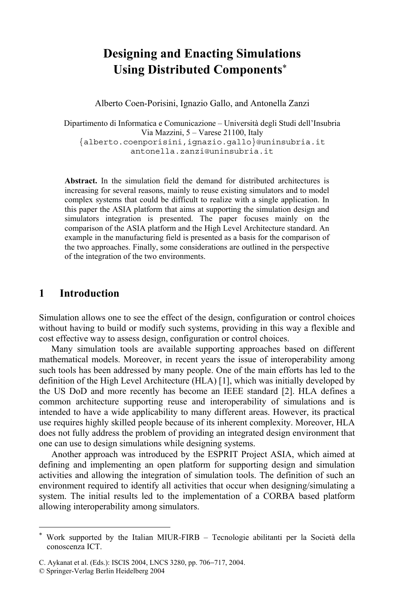# **Designing and Enacting Simulations Using Distributed Components**\*

Alberto Coen-Porisini, Ignazio Gallo, and Antonella Zanzi

Dipartimento di Informatica e Comunicazione – Università degli Studi dell'Insubria Via Mazzini, 5 – Varese 21100, Italy {alberto.coenporisini,ignazio.gallo}@uninsubria.it antonella.zanzi@uninsubria.it

**Abstract.** In the simulation field the demand for distributed architectures is increasing for several reasons, mainly to reuse existing simulators and to model complex systems that could be difficult to realize with a single application. In this paper the ASIA platform that aims at supporting the simulation design and simulators integration is presented. The paper focuses mainly on the comparison of the ASIA platform and the High Level Architecture standard. An example in the manufacturing field is presented as a basis for the comparison of the two approaches. Finally, some considerations are outlined in the perspective of the integration of the two environments.

### **1 Introduction**

Simulation allows one to see the effect of the design, configuration or control choices without having to build or modify such systems, providing in this way a flexible and cost effective way to assess design, configuration or control choices.

Many simulation tools are available supporting approaches based on different mathematical models. Moreover, in recent years the issue of interoperability among such tools has been addressed by many people. One of the main efforts has led to the definition of the High Level Architecture (HLA) [1], which was initially developed by the US DoD and more recently has become an IEEE standard [2]. HLA defines a common architecture supporting reuse and interoperability of simulations and is intended to have a wide applicability to many different areas. However, its practical use requires highly skilled people because of its inherent complexity. Moreover, HLA does not fully address the problem of providing an integrated design environment that one can use to design simulations while designing systems.

Another approach was introduced by the ESPRIT Project ASIA, which aimed at defining and implementing an open platform for supporting design and simulation activities and allowing the integration of simulation tools. The definition of such an environment required to identify all activities that occur when designing/simulating a system. The initial results led to the implementation of a CORBA based platform allowing interoperability among simulators.

 $\overline{\phantom{a}}$ 

Work supported by the Italian MIUR-FIRB – Tecnologie abilitanti per la Società della conoscenza ICT.

C. Aykanat et al. (Eds.): ISCIS 2004, LNCS 3280, pp. 706−717, 2004.

<sup>©</sup> Springer-Verlag Berlin Heidelberg 2004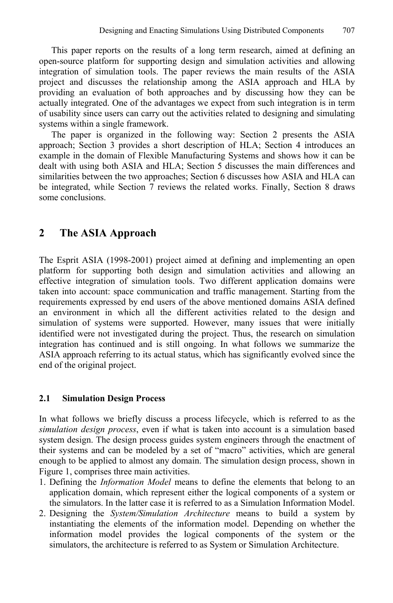This paper reports on the results of a long term research, aimed at defining an open-source platform for supporting design and simulation activities and allowing integration of simulation tools. The paper reviews the main results of the ASIA project and discusses the relationship among the ASIA approach and HLA by providing an evaluation of both approaches and by discussing how they can be actually integrated. One of the advantages we expect from such integration is in term of usability since users can carry out the activities related to designing and simulating systems within a single framework.

The paper is organized in the following way: Section 2 presents the ASIA approach; Section 3 provides a short description of HLA; Section 4 introduces an example in the domain of Flexible Manufacturing Systems and shows how it can be dealt with using both ASIA and HLA; Section 5 discusses the main differences and similarities between the two approaches; Section 6 discusses how ASIA and HLA can be integrated, while Section 7 reviews the related works. Finally, Section 8 draws some conclusions.

### **2 The ASIA Approach**

The Esprit ASIA (1998-2001) project aimed at defining and implementing an open platform for supporting both design and simulation activities and allowing an effective integration of simulation tools. Two different application domains were taken into account: space communication and traffic management. Starting from the requirements expressed by end users of the above mentioned domains ASIA defined an environment in which all the different activities related to the design and simulation of systems were supported. However, many issues that were initially identified were not investigated during the project. Thus, the research on simulation integration has continued and is still ongoing. In what follows we summarize the ASIA approach referring to its actual status, which has significantly evolved since the end of the original project.

#### **2.1 Simulation Design Process**

In what follows we briefly discuss a process lifecycle, which is referred to as the *simulation design process*, even if what is taken into account is a simulation based system design. The design process guides system engineers through the enactment of their systems and can be modeled by a set of "macro" activities, which are general enough to be applied to almost any domain. The simulation design process, shown in Figure 1, comprises three main activities.

- 1. Defining the *Information Model* means to define the elements that belong to an application domain, which represent either the logical components of a system or the simulators. In the latter case it is referred to as a Simulation Information Model.
- 2. Designing the *System/Simulation Architecture* means to build a system by instantiating the elements of the information model. Depending on whether the information model provides the logical components of the system or the simulators, the architecture is referred to as System or Simulation Architecture.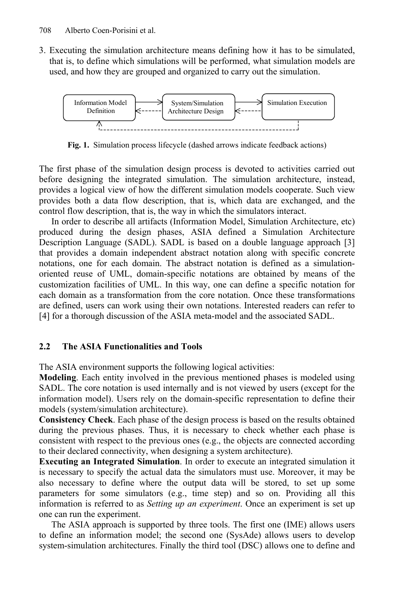3. Executing the simulation architecture means defining how it has to be simulated, that is, to define which simulations will be performed, what simulation models are used, and how they are grouped and organized to carry out the simulation.



**Fig. 1.** Simulation process lifecycle (dashed arrows indicate feedback actions)

The first phase of the simulation design process is devoted to activities carried out before designing the integrated simulation. The simulation architecture, instead, provides a logical view of how the different simulation models cooperate. Such view provides both a data flow description, that is, which data are exchanged, and the control flow description, that is, the way in which the simulators interact.

In order to describe all artifacts (Information Model, Simulation Architecture, etc) produced during the design phases, ASIA defined a Simulation Architecture Description Language (SADL). SADL is based on a double language approach [3] that provides a domain independent abstract notation along with specific concrete notations, one for each domain. The abstract notation is defined as a simulationoriented reuse of UML, domain-specific notations are obtained by means of the customization facilities of UML. In this way, one can define a specific notation for each domain as a transformation from the core notation. Once these transformations are defined, users can work using their own notations. Interested readers can refer to [4] for a thorough discussion of the ASIA meta-model and the associated SADL.

#### **2.2 The ASIA Functionalities and Tools**

The ASIA environment supports the following logical activities:

**Modeling**. Each entity involved in the previous mentioned phases is modeled using SADL. The core notation is used internally and is not viewed by users (except for the information model). Users rely on the domain-specific representation to define their models (system/simulation architecture).

**Consistency Check**. Each phase of the design process is based on the results obtained during the previous phases. Thus, it is necessary to check whether each phase is consistent with respect to the previous ones (e.g., the objects are connected according to their declared connectivity, when designing a system architecture).

**Executing an Integrated Simulation**. In order to execute an integrated simulation it is necessary to specify the actual data the simulators must use. Moreover, it may be also necessary to define where the output data will be stored, to set up some parameters for some simulators (e.g., time step) and so on. Providing all this information is referred to as *Setting up an experiment*. Once an experiment is set up one can run the experiment.

The ASIA approach is supported by three tools. The first one (IME) allows users to define an information model; the second one (SysAde) allows users to develop system-simulation architectures. Finally the third tool (DSC) allows one to define and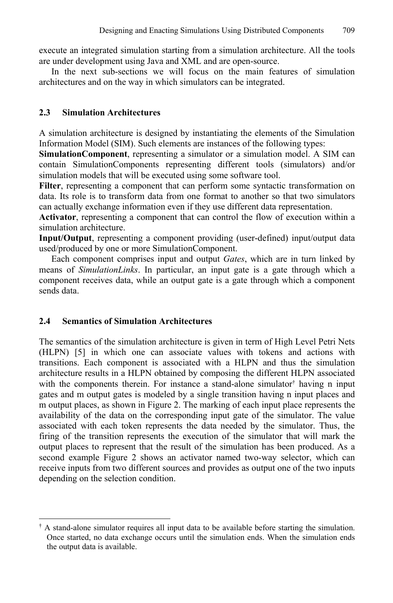execute an integrated simulation starting from a simulation architecture. All the tools are under development using Java and XML and are open-source.

In the next sub-sections we will focus on the main features of simulation architectures and on the way in which simulators can be integrated.

#### **2.3 Simulation Architectures**

A simulation architecture is designed by instantiating the elements of the Simulation Information Model (SIM). Such elements are instances of the following types:

**SimulationComponent**, representing a simulator or a simulation model. A SIM can contain SimulationComponents representing different tools (simulators) and/or simulation models that will be executed using some software tool.

**Filter**, representing a component that can perform some syntactic transformation on data. Its role is to transform data from one format to another so that two simulators can actually exchange information even if they use different data representation.

**Activator**, representing a component that can control the flow of execution within a simulation architecture.

**Input/Output**, representing a component providing (user-defined) input/output data used/produced by one or more SimulationComponent.

Each component comprises input and output *Gates*, which are in turn linked by means of *SimulationLinks*. In particular, an input gate is a gate through which a component receives data, while an output gate is a gate through which a component sends data.

#### **2.4 Semantics of Simulation Architectures**

 $\overline{\phantom{a}}$ 

The semantics of the simulation architecture is given in term of High Level Petri Nets (HLPN) [5] in which one can associate values with tokens and actions with transitions. Each component is associated with a HLPN and thus the simulation architecture results in a HLPN obtained by composing the different HLPN associated with the components therein. For instance a stand-alone simulator<sup>†</sup> having n input gates and m output gates is modeled by a single transition having n input places and m output places, as shown in Figure 2. The marking of each input place represents the availability of the data on the corresponding input gate of the simulator. The value associated with each token represents the data needed by the simulator. Thus, the firing of the transition represents the execution of the simulator that will mark the output places to represent that the result of the simulation has been produced. As a second example Figure 2 shows an activator named two-way selector, which can receive inputs from two different sources and provides as output one of the two inputs depending on the selection condition.

<sup>†</sup> A stand-alone simulator requires all input data to be available before starting the simulation. Once started, no data exchange occurs until the simulation ends. When the simulation ends the output data is available.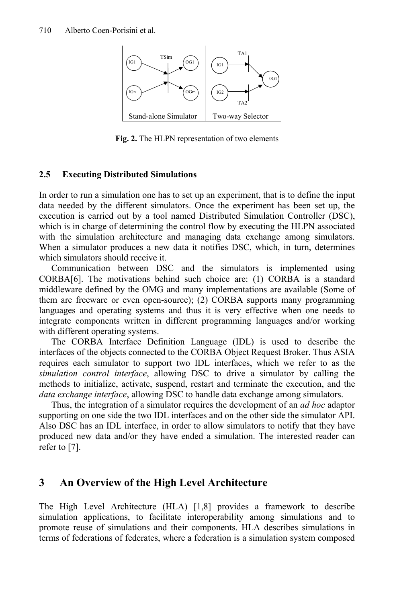

**Fig. 2.** The HLPN representation of two elements

#### **2.5 Executing Distributed Simulations**

In order to run a simulation one has to set up an experiment, that is to define the input data needed by the different simulators. Once the experiment has been set up, the execution is carried out by a tool named Distributed Simulation Controller (DSC), which is in charge of determining the control flow by executing the HLPN associated with the simulation architecture and managing data exchange among simulators. When a simulator produces a new data it notifies DSC, which, in turn, determines which simulators should receive it.

Communication between DSC and the simulators is implemented using CORBA $[6]$ . The motivations behind such choice are: (1) CORBA is a standard middleware defined by the OMG and many implementations are available (Some of them are freeware or even open-source); (2) CORBA supports many programming languages and operating systems and thus it is very effective when one needs to integrate components written in different programming languages and/or working with different operating systems.

The CORBA Interface Definition Language (IDL) is used to describe the interfaces of the objects connected to the CORBA Object Request Broker. Thus ASIA requires each simulator to support two IDL interfaces, which we refer to as the *simulation control interface*, allowing DSC to drive a simulator by calling the methods to initialize, activate, suspend, restart and terminate the execution, and the *data exchange interface*, allowing DSC to handle data exchange among simulators.

Thus, the integration of a simulator requires the development of an *ad hoc* adaptor supporting on one side the two IDL interfaces and on the other side the simulator API. Also DSC has an IDL interface, in order to allow simulators to notify that they have produced new data and/or they have ended a simulation. The interested reader can refer to [7].

### **3 An Overview of the High Level Architecture**

The High Level Architecture (HLA) [1,8] provides a framework to describe simulation applications, to facilitate interoperability among simulations and to promote reuse of simulations and their components. HLA describes simulations in terms of federations of federates, where a federation is a simulation system composed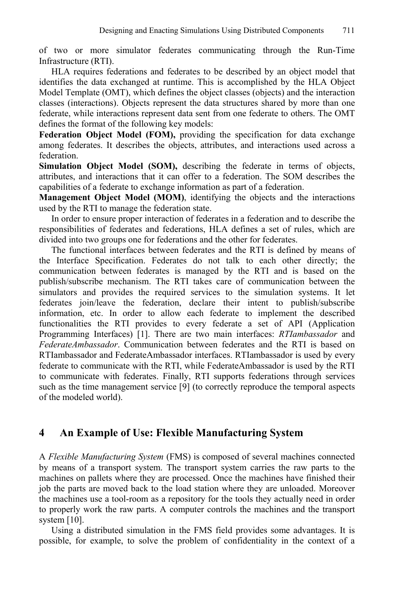of two or more simulator federates communicating through the Run-Time Infrastructure (RTI).

HLA requires federations and federates to be described by an object model that identifies the data exchanged at runtime. This is accomplished by the HLA Object Model Template (OMT), which defines the object classes (objects) and the interaction classes (interactions). Objects represent the data structures shared by more than one federate, while interactions represent data sent from one federate to others. The OMT defines the format of the following key models:

**Federation Object Model (FOM),** providing the specification for data exchange among federates. It describes the objects, attributes, and interactions used across a federation.

**Simulation Object Model (SOM),** describing the federate in terms of objects, attributes, and interactions that it can offer to a federation. The SOM describes the capabilities of a federate to exchange information as part of a federation.

**Management Object Model (MOM)**, identifying the objects and the interactions used by the RTI to manage the federation state.

In order to ensure proper interaction of federates in a federation and to describe the responsibilities of federates and federations, HLA defines a set of rules, which are divided into two groups one for federations and the other for federates.

The functional interfaces between federates and the RTI is defined by means of the Interface Specification. Federates do not talk to each other directly; the communication between federates is managed by the RTI and is based on the publish/subscribe mechanism. The RTI takes care of communication between the simulators and provides the required services to the simulation systems. It let federates join/leave the federation, declare their intent to publish/subscribe information, etc. In order to allow each federate to implement the described functionalities the RTI provides to every federate a set of API (Application Programming Interfaces) [1]. There are two main interfaces: *RTIambassador* and *FederateAmbassador*. Communication between federates and the RTI is based on RTIambassador and FederateAmbassador interfaces. RTIambassador is used by every federate to communicate with the RTI, while FederateAmbassador is used by the RTI to communicate with federates. Finally, RTI supports federations through services such as the time management service [9] (to correctly reproduce the temporal aspects of the modeled world).

### **4 An Example of Use: Flexible Manufacturing System**

A *Flexible Manufacturing System* (FMS) is composed of several machines connected by means of a transport system. The transport system carries the raw parts to the machines on pallets where they are processed. Once the machines have finished their job the parts are moved back to the load station where they are unloaded. Moreover the machines use a tool-room as a repository for the tools they actually need in order to properly work the raw parts. A computer controls the machines and the transport system [10].

Using a distributed simulation in the FMS field provides some advantages. It is possible, for example, to solve the problem of confidentiality in the context of a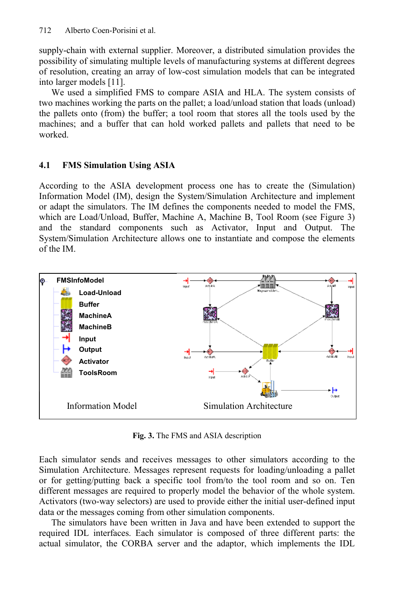supply-chain with external supplier. Moreover, a distributed simulation provides the possibility of simulating multiple levels of manufacturing systems at different degrees of resolution, creating an array of low-cost simulation models that can be integrated into larger models [11].

We used a simplified FMS to compare ASIA and HLA. The system consists of two machines working the parts on the pallet; a load/unload station that loads (unload) the pallets onto (from) the buffer; a tool room that stores all the tools used by the machines; and a buffer that can hold worked pallets and pallets that need to be worked.

### **4.1 FMS Simulation Using ASIA**

According to the ASIA development process one has to create the (Simulation) Information Model (IM), design the System/Simulation Architecture and implement or adapt the simulators. The IM defines the components needed to model the FMS, which are Load/Unload, Buffer, Machine A, Machine B, Tool Room (see Figure 3) and the standard components such as Activator, Input and Output. The System/Simulation Architecture allows one to instantiate and compose the elements of the IM.



**Fig. 3.** The FMS and ASIA description

Each simulator sends and receives messages to other simulators according to the Simulation Architecture. Messages represent requests for loading/unloading a pallet or for getting/putting back a specific tool from/to the tool room and so on. Ten different messages are required to properly model the behavior of the whole system. Activators (two-way selectors) are used to provide either the initial user-defined input data or the messages coming from other simulation components.

The simulators have been written in Java and have been extended to support the required IDL interfaces. Each simulator is composed of three different parts: the actual simulator, the CORBA server and the adaptor, which implements the IDL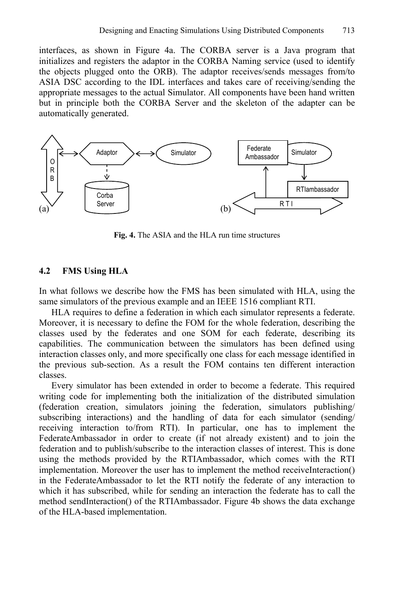interfaces, as shown in Figure 4a. The CORBA server is a Java program that initializes and registers the adaptor in the CORBA Naming service (used to identify the objects plugged onto the ORB). The adaptor receives/sends messages from/to ASIA DSC according to the IDL interfaces and takes care of receiving/sending the appropriate messages to the actual Simulator. All components have been hand written but in principle both the CORBA Server and the skeleton of the adapter can be automatically generated.



**Fig. 4.** The ASIA and the HLA run time structures

#### **4.2 FMS Using HLA**

In what follows we describe how the FMS has been simulated with HLA, using the same simulators of the previous example and an IEEE 1516 compliant RTI.

HLA requires to define a federation in which each simulator represents a federate. Moreover, it is necessary to define the FOM for the whole federation, describing the classes used by the federates and one SOM for each federate, describing its capabilities. The communication between the simulators has been defined using interaction classes only, and more specifically one class for each message identified in the previous sub-section. As a result the FOM contains ten different interaction classes.

Every simulator has been extended in order to become a federate. This required writing code for implementing both the initialization of the distributed simulation (federation creation, simulators joining the federation, simulators publishing/ subscribing interactions) and the handling of data for each simulator (sending/ receiving interaction to/from RTI). In particular, one has to implement the FederateAmbassador in order to create (if not already existent) and to join the federation and to publish/subscribe to the interaction classes of interest. This is done using the methods provided by the RTIAmbassador, which comes with the RTI implementation. Moreover the user has to implement the method receiveInteraction() in the FederateAmbassador to let the RTI notify the federate of any interaction to which it has subscribed, while for sending an interaction the federate has to call the method sendInteraction() of the RTIAmbassador. Figure 4b shows the data exchange of the HLA-based implementation.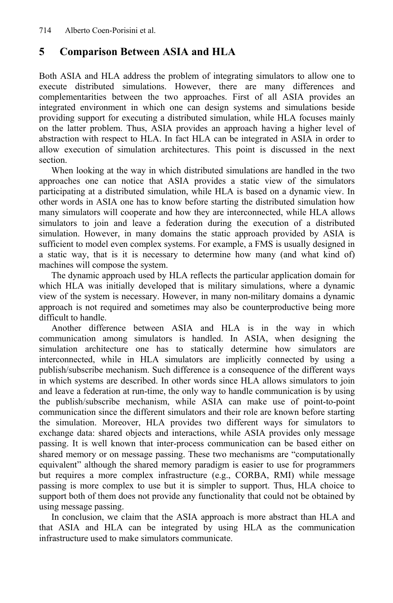# **5 Comparison Between ASIA and HLA**

Both ASIA and HLA address the problem of integrating simulators to allow one to execute distributed simulations. However, there are many differences and complementarities between the two approaches. First of all ASIA provides an integrated environment in which one can design systems and simulations beside providing support for executing a distributed simulation, while HLA focuses mainly on the latter problem. Thus, ASIA provides an approach having a higher level of abstraction with respect to HLA. In fact HLA can be integrated in ASIA in order to allow execution of simulation architectures. This point is discussed in the next section.

When looking at the way in which distributed simulations are handled in the two approaches one can notice that ASIA provides a static view of the simulators participating at a distributed simulation, while HLA is based on a dynamic view. In other words in ASIA one has to know before starting the distributed simulation how many simulators will cooperate and how they are interconnected, while HLA allows simulators to join and leave a federation during the execution of a distributed simulation. However, in many domains the static approach provided by ASIA is sufficient to model even complex systems. For example, a FMS is usually designed in a static way, that is it is necessary to determine how many (and what kind of) machines will compose the system.

The dynamic approach used by HLA reflects the particular application domain for which HLA was initially developed that is military simulations, where a dynamic view of the system is necessary. However, in many non-military domains a dynamic approach is not required and sometimes may also be counterproductive being more difficult to handle.

Another difference between ASIA and HLA is in the way in which communication among simulators is handled. In ASIA, when designing the simulation architecture one has to statically determine how simulators are interconnected, while in HLA simulators are implicitly connected by using a publish/subscribe mechanism. Such difference is a consequence of the different ways in which systems are described. In other words since HLA allows simulators to join and leave a federation at run-time, the only way to handle communication is by using the publish/subscribe mechanism, while ASIA can make use of point-to-point communication since the different simulators and their role are known before starting the simulation. Moreover, HLA provides two different ways for simulators to exchange data: shared objects and interactions, while ASIA provides only message passing. It is well known that inter-process communication can be based either on shared memory or on message passing. These two mechanisms are "computationally equivalent" although the shared memory paradigm is easier to use for programmers but requires a more complex infrastructure (e.g., CORBA, RMI) while message passing is more complex to use but it is simpler to support. Thus, HLA choice to support both of them does not provide any functionality that could not be obtained by using message passing.

In conclusion, we claim that the ASIA approach is more abstract than HLA and that ASIA and HLA can be integrated by using HLA as the communication infrastructure used to make simulators communicate.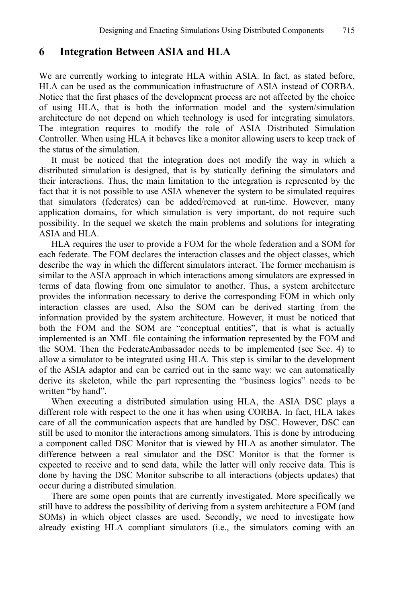### **6 Integration Between ASIA and HLA**

We are currently working to integrate HLA within ASIA. In fact, as stated before, HLA can be used as the communication infrastructure of ASIA instead of CORBA. Notice that the first phases of the development process are not affected by the choice of using HLA, that is both the information model and the system/simulation architecture do not depend on which technology is used for integrating simulators. The integration requires to modify the role of ASIA Distributed Simulation Controller. When using HLA it behaves like a monitor allowing users to keep track of the status of the simulation.

It must be noticed that the integration does not modify the way in which a distributed simulation is designed, that is by statically defining the simulators and their interactions. Thus, the main limitation to the integration is represented by the fact that it is not possible to use ASIA whenever the system to be simulated requires that simulators (federates) can be added/removed at run-time. However, many application domains, for which simulation is very important, do not require such possibility. In the sequel we sketch the main problems and solutions for integrating ASIA and HLA.

HLA requires the user to provide a FOM for the whole federation and a SOM for each federate. The FOM declares the interaction classes and the object classes, which describe the way in which the different simulators interact. The former mechanism is similar to the ASIA approach in which interactions among simulators are expressed in terms of data flowing from one simulator to another. Thus, a system architecture provides the information necessary to derive the corresponding FOM in which only interaction classes are used. Also the SOM can be derived starting from the information provided by the system architecture. However, it must be noticed that both the FOM and the SOM are "conceptual entities", that is what is actually implemented is an XML file containing the information represented by the FOM and the SOM. Then the FederateAmbassador needs to be implemented (see Sec. 4) to allow a simulator to be integrated using HLA. This step is similar to the development of the ASIA adaptor and can be carried out in the same way: we can automatically derive its skeleton, while the part representing the "business logics" needs to be written "by hand".

When executing a distributed simulation using HLA, the ASIA DSC plays a different role with respect to the one it has when using CORBA. In fact, HLA takes care of all the communication aspects that are handled by DSC. However, DSC can still be used to monitor the interactions among simulators. This is done by introducing a component called DSC Monitor that is viewed by HLA as another simulator. The difference between a real simulator and the DSC Monitor is that the former is expected to receive and to send data, while the latter will only receive data. This is done by having the DSC Monitor subscribe to all interactions (objects updates) that occur during a distributed simulation.

There are some open points that are currently investigated. More specifically we still have to address the possibility of deriving from a system architecture a FOM (and SOMs) in which object classes are used. Secondly, we need to investigate how already existing HLA compliant simulators (i.e., the simulators coming with an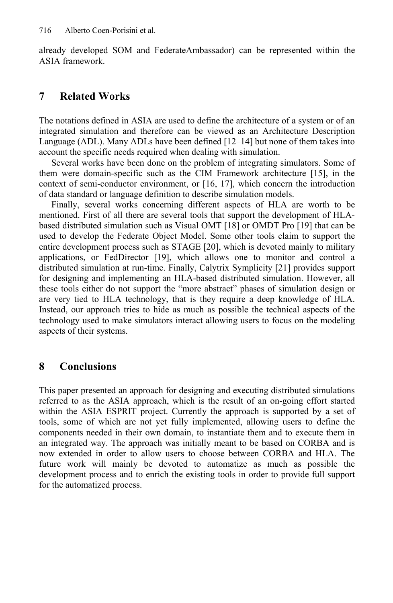already developed SOM and FederateAmbassador) can be represented within the ASIA framework.

### **7 Related Works**

The notations defined in ASIA are used to define the architecture of a system or of an integrated simulation and therefore can be viewed as an Architecture Description Language (ADL). Many ADLs have been defined [12–14] but none of them takes into account the specific needs required when dealing with simulation.

Several works have been done on the problem of integrating simulators. Some of them were domain-specific such as the CIM Framework architecture [15], in the context of semi-conductor environment, or [16, 17], which concern the introduction of data standard or language definition to describe simulation models.

Finally, several works concerning different aspects of HLA are worth to be mentioned. First of all there are several tools that support the development of HLAbased distributed simulation such as Visual OMT [18] or OMDT Pro [19] that can be used to develop the Federate Object Model. Some other tools claim to support the entire development process such as STAGE [20], which is devoted mainly to military applications, or FedDirector [19], which allows one to monitor and control a distributed simulation at run-time. Finally, Calytrix Symplicity [21] provides support for designing and implementing an HLA-based distributed simulation. However, all these tools either do not support the "more abstract" phases of simulation design or are very tied to HLA technology, that is they require a deep knowledge of HLA. Instead, our approach tries to hide as much as possible the technical aspects of the technology used to make simulators interact allowing users to focus on the modeling aspects of their systems.

### **8 Conclusions**

This paper presented an approach for designing and executing distributed simulations referred to as the ASIA approach, which is the result of an on-going effort started within the ASIA ESPRIT project. Currently the approach is supported by a set of tools, some of which are not yet fully implemented, allowing users to define the components needed in their own domain, to instantiate them and to execute them in an integrated way. The approach was initially meant to be based on CORBA and is now extended in order to allow users to choose between CORBA and HLA. The future work will mainly be devoted to automatize as much as possible the development process and to enrich the existing tools in order to provide full support for the automatized process.